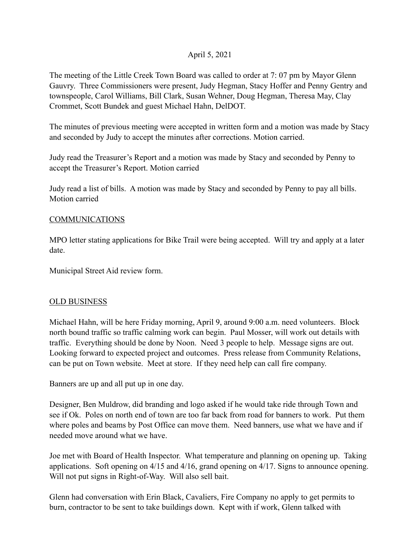## April 5, 2021

The meeting of the Little Creek Town Board was called to order at 7: 07 pm by Mayor Glenn Gauvry. Three Commissioners were present, Judy Hegman, Stacy Hoffer and Penny Gentry and townspeople, Carol Williams, Bill Clark, Susan Wehner, Doug Hegman, Theresa May, Clay Crommet, Scott Bundek and guest Michael Hahn, DelDOT.

The minutes of previous meeting were accepted in written form and a motion was made by Stacy and seconded by Judy to accept the minutes after corrections. Motion carried.

Judy read the Treasurer's Report and a motion was made by Stacy and seconded by Penny to accept the Treasurer's Report. Motion carried

Judy read a list of bills. A motion was made by Stacy and seconded by Penny to pay all bills. Motion carried

## **COMMUNICATIONS**

MPO letter stating applications for Bike Trail were being accepted. Will try and apply at a later date.

Municipal Street Aid review form.

## OLD BUSINESS

Michael Hahn, will be here Friday morning, April 9, around 9:00 a.m. need volunteers. Block north bound traffic so traffic calming work can begin. Paul Mosser, will work out details with traffic. Everything should be done by Noon. Need 3 people to help. Message signs are out. Looking forward to expected project and outcomes. Press release from Community Relations, can be put on Town website. Meet at store. If they need help can call fire company.

Banners are up and all put up in one day.

Designer, Ben Muldrow, did branding and logo asked if he would take ride through Town and see if Ok. Poles on north end of town are too far back from road for banners to work. Put them where poles and beams by Post Office can move them. Need banners, use what we have and if needed move around what we have.

Joe met with Board of Health Inspector. What temperature and planning on opening up. Taking applications. Soft opening on 4/15 and 4/16, grand opening on 4/17. Signs to announce opening. Will not put signs in Right-of-Way. Will also sell bait.

Glenn had conversation with Erin Black, Cavaliers, Fire Company no apply to get permits to burn, contractor to be sent to take buildings down. Kept with if work, Glenn talked with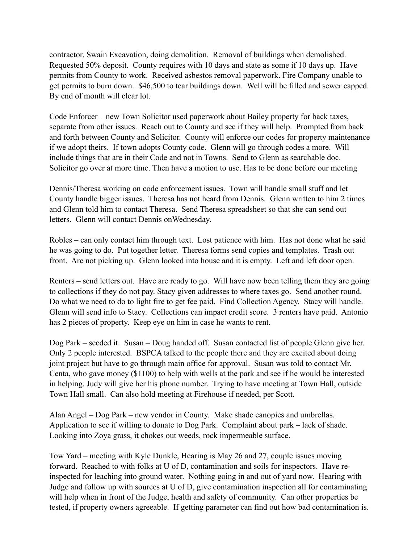contractor, Swain Excavation, doing demolition. Removal of buildings when demolished. Requested 50% deposit. County requires with 10 days and state as some if 10 days up. Have permits from County to work. Received asbestos removal paperwork. Fire Company unable to get permits to burn down. \$46,500 to tear buildings down. Well will be filled and sewer capped. By end of month will clear lot.

Code Enforcer – new Town Solicitor used paperwork about Bailey property for back taxes, separate from other issues. Reach out to County and see if they will help. Prompted from back and forth between County and Solicitor. County will enforce our codes for property maintenance if we adopt theirs. If town adopts County code. Glenn will go through codes a more. Will include things that are in their Code and not in Towns. Send to Glenn as searchable doc. Solicitor go over at more time. Then have a motion to use. Has to be done before our meeting

Dennis/Theresa working on code enforcement issues. Town will handle small stuff and let County handle bigger issues. Theresa has not heard from Dennis. Glenn written to him 2 times and Glenn told him to contact Theresa. Send Theresa spreadsheet so that she can send out letters. Glenn will contact Dennis onWednesday.

Robles – can only contact him through text. Lost patience with him. Has not done what he said he was going to do. Put together letter. Theresa forms send copies and templates. Trash out front. Are not picking up. Glenn looked into house and it is empty. Left and left door open.

Renters – send letters out. Have are ready to go. Will have now been telling them they are going to collections if they do not pay. Stacy given addresses to where taxes go. Send another round. Do what we need to do to light fire to get fee paid. Find Collection Agency. Stacy will handle. Glenn will send info to Stacy. Collections can impact credit score. 3 renters have paid. Antonio has 2 pieces of property. Keep eye on him in case he wants to rent.

Dog Park – seeded it. Susan – Doug handed off. Susan contacted list of people Glenn give her. Only 2 people interested. BSPCA talked to the people there and they are excited about doing joint project but have to go through main office for approval. Susan was told to contact Mr. Centa, who gave money (\$1100) to help with wells at the park and see if he would be interested in helping. Judy will give her his phone number. Trying to have meeting at Town Hall, outside Town Hall small. Can also hold meeting at Firehouse if needed, per Scott.

Alan Angel – Dog Park – new vendor in County. Make shade canopies and umbrellas. Application to see if willing to donate to Dog Park. Complaint about park – lack of shade. Looking into Zoya grass, it chokes out weeds, rock impermeable surface.

Tow Yard – meeting with Kyle Dunkle, Hearing is May 26 and 27, couple issues moving forward. Reached to with folks at U of D, contamination and soils for inspectors. Have reinspected for leaching into ground water. Nothing going in and out of yard now. Hearing with Judge and follow up with sources at U of D, give contamination inspection all for contaminating will help when in front of the Judge, health and safety of community. Can other properties be tested, if property owners agreeable. If getting parameter can find out how bad contamination is.